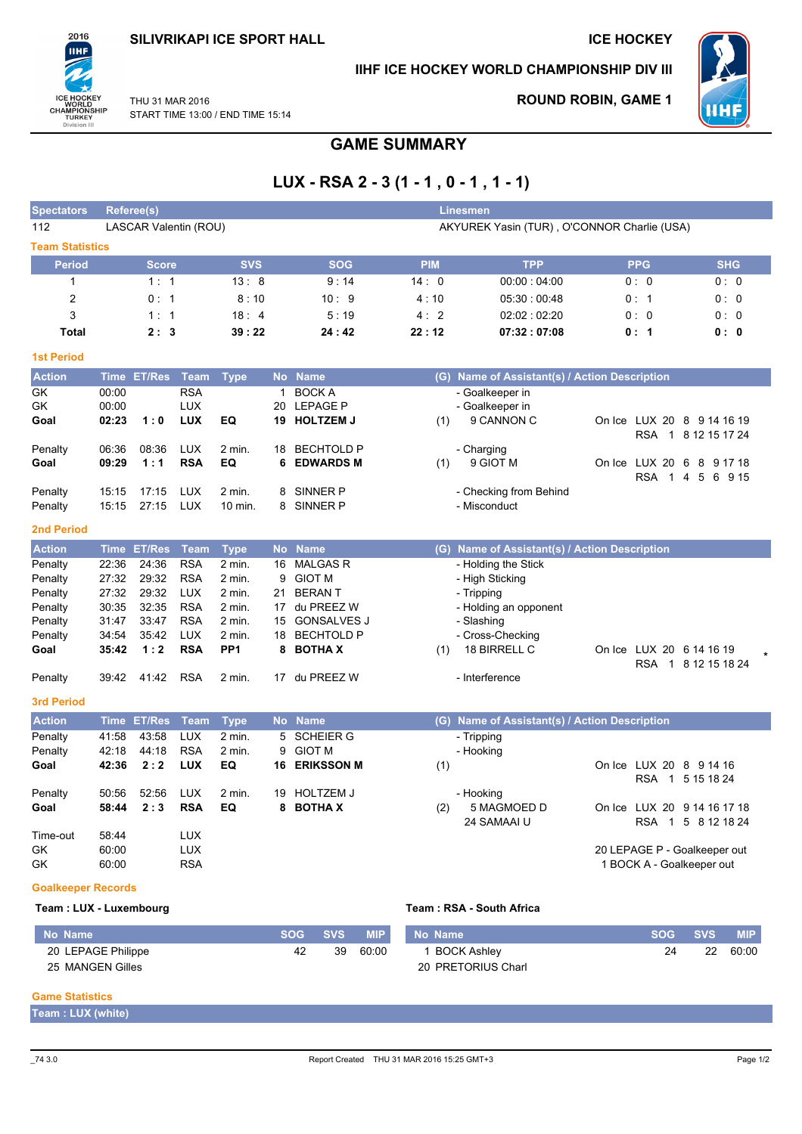### **SILIVRIKAPI ICE SPORT HALL**

### **ICE HOCKEY**



### IIHF ICE HOCKEY WORLD CHAMPIONSHIP DIV III



**ROUND ROBIN, GAME 1** 

THU 31 MAR 2016 START TIME 13:00 / END TIME 15:14

# **GAME SUMMARY**

## LUX - RSA 2 - 3 (1 - 1, 0 - 1, 1 - 1)

| <b>Spectators</b>         |                | Referee(s)            |                          |                 |                                             |                                       |            | <b>Linesmen</b>                               |                              |                     |  |  |  |
|---------------------------|----------------|-----------------------|--------------------------|-----------------|---------------------------------------------|---------------------------------------|------------|-----------------------------------------------|------------------------------|---------------------|--|--|--|
| 112                       |                | LASCAR Valentin (ROU) |                          |                 | AKYUREK Yasin (TUR), O'CONNOR Charlie (USA) |                                       |            |                                               |                              |                     |  |  |  |
| <b>Team Statistics</b>    |                |                       |                          |                 |                                             |                                       |            |                                               |                              |                     |  |  |  |
| <b>Period</b>             |                | <b>Score</b>          |                          | <b>SVS</b>      |                                             | <b>SOG</b>                            | <b>PIM</b> | <b>TPP</b>                                    | <b>PPG</b>                   | <b>SHG</b>          |  |  |  |
| $\mathbf{1}$              |                | 1:1                   |                          | 13:8            |                                             | 9:14                                  | 14:0       | 00:00:04:00                                   | 0:0                          | 0:0                 |  |  |  |
| $\overline{c}$            |                | 0:1                   |                          | 8:10            |                                             | 10:9                                  | 4:10       | 05:30:00:48                                   | 0:1                          | 0: 0                |  |  |  |
| 3                         |                | 1:1                   |                          | 18:4            |                                             | 5:19                                  | 4:2        | 02:02:02:20                                   | 0:0                          | 0: 0                |  |  |  |
| <b>Total</b>              |                | 2:3                   |                          | 39:22           |                                             | 24:42                                 | 22:12      | 07:32:07:08                                   | 0: 1                         | 0: 0                |  |  |  |
| <b>1st Period</b>         |                |                       |                          |                 |                                             |                                       |            |                                               |                              |                     |  |  |  |
| <b>Action</b>             | <b>Time</b>    | <b>ET/Res</b>         | <b>Team</b>              | <b>Type</b>     | <b>No</b>                                   | <b>Name</b>                           |            | (G) Name of Assistant(s) / Action Description |                              |                     |  |  |  |
| GK                        | 00:00          |                       | <b>RSA</b>               |                 | $\mathbf{1}$                                | <b>BOCK A</b>                         |            | - Goalkeeper in                               |                              |                     |  |  |  |
| GK                        | 00:00          |                       | <b>LUX</b>               |                 | 20                                          | <b>LEPAGE P</b>                       |            | - Goalkeeper in                               |                              |                     |  |  |  |
| Goal                      | 02:23          | 1:0                   | <b>LUX</b>               | EQ              |                                             | 19 HOLTZEM J                          | (1)        | 9 CANNON C                                    | On Ice LUX 20 8 9 14 16 19   |                     |  |  |  |
|                           |                |                       |                          |                 |                                             |                                       |            |                                               | <b>RSA</b><br>$\overline{1}$ | 8 12 15 17 24       |  |  |  |
| Penalty<br>Goal           | 06:36<br>09:29 | 08:36<br>1:1          | <b>LUX</b><br><b>RSA</b> | $2$ min.<br>EQ  | 18<br>6                                     | <b>BECHTOLD P</b><br><b>EDWARDS M</b> | (1)        | - Charging<br>9 GIOT M                        | On Ice LUX 20 6 8 9 17 18    |                     |  |  |  |
|                           |                |                       |                          |                 |                                             |                                       |            |                                               | <b>RSA</b><br>$\overline{1}$ | 4 5 6 9 15          |  |  |  |
| Penalty                   | 15:15          | 17:15                 | <b>LUX</b>               | 2 min.          | 8                                           | SINNER P                              |            | - Checking from Behind                        |                              |                     |  |  |  |
| Penalty                   | 15:15          | 27:15                 | <b>LUX</b>               | 10 min.         | 8                                           | SINNER P                              |            | - Misconduct                                  |                              |                     |  |  |  |
| 2nd Period                |                |                       |                          |                 |                                             |                                       |            |                                               |                              |                     |  |  |  |
| <b>Action</b>             | <b>Time</b>    | <b>ET/Res</b>         | <b>Team</b>              | <b>Type</b>     | <b>No</b>                                   | <b>Name</b>                           |            | (G) Name of Assistant(s) / Action Description |                              |                     |  |  |  |
| Penalty                   | 22:36          | 24:36                 | <b>RSA</b>               | 2 min.          | 16                                          | <b>MALGAS R</b>                       |            | - Holding the Stick                           |                              |                     |  |  |  |
| Penalty                   | 27:32          | 29:32                 | <b>RSA</b>               | $2$ min.        | 9                                           | <b>GIOT M</b>                         |            | - High Sticking                               |                              |                     |  |  |  |
| Penalty                   | 27:32          | 29:32                 | <b>LUX</b>               | 2 min.          | 21                                          | <b>BERANT</b>                         |            | - Tripping                                    |                              |                     |  |  |  |
| Penalty                   | 30:35          | 32:35                 | <b>RSA</b>               | $2$ min.        | 17                                          | du PREEZ W                            |            | - Holding an opponent                         |                              |                     |  |  |  |
| Penalty                   | 31:47          | 33:47                 | <b>RSA</b>               | $2$ min.        | 15                                          | <b>GONSALVES J</b>                    |            | - Slashing                                    |                              |                     |  |  |  |
| Penalty                   | 34:54          | 35:42                 | <b>LUX</b>               | $2$ min.        | 18                                          | <b>BECHTOLD P</b>                     |            | - Cross-Checking                              |                              |                     |  |  |  |
| Goal                      | 35:42          | 1:2                   | <b>RSA</b>               | PP <sub>1</sub> | 8                                           | <b>BOTHAX</b>                         | (1)        | 18 BIRRELL C                                  | On Ice LUX 20 6 14 16 19     |                     |  |  |  |
| Penalty                   | 39:42          | 41:42                 | <b>RSA</b>               | 2 min.          |                                             | 17 du PREEZ W                         |            | - Interference                                |                              | RSA 1 8 12 15 18 24 |  |  |  |
|                           |                |                       |                          |                 |                                             |                                       |            |                                               |                              |                     |  |  |  |
| <b>3rd Period</b>         |                |                       |                          |                 |                                             |                                       |            |                                               |                              |                     |  |  |  |
| <b>Action</b>             |                | Time ET/Res           | <b>Team</b>              | <b>Type</b>     |                                             | No Name                               |            | (G) Name of Assistant(s) / Action Description |                              |                     |  |  |  |
| Penalty                   | 41:58          | 43:58                 | <b>LUX</b>               | $2$ min.        | 5                                           | <b>SCHEIER G</b>                      |            | - Tripping                                    |                              |                     |  |  |  |
| Penalty                   | 42:18          | 44:18                 | <b>RSA</b>               | 2 min.          | 9                                           | <b>GIOT M</b>                         |            | - Hooking                                     |                              |                     |  |  |  |
| Goal                      | 42:36          | 2:2                   | <b>LUX</b>               | EQ              | 16                                          | <b>ERIKSSON M</b>                     | (1)        |                                               | On Ice LUX 20 8 9 14 16      |                     |  |  |  |
| Penalty                   | 50:56          | 52:56                 | <b>LUX</b>               | 2 min.          | 19                                          | <b>HOLTZEM J</b>                      |            | - Hooking                                     |                              | RSA 1 5 15 18 24    |  |  |  |
| Goal                      | 58:44          | 2:3                   | <b>RSA</b>               | EQ              | 8                                           | <b>BOTHA X</b>                        | (2)        | 5 MAGMOED D                                   | On Ice LUX 20 9 14 16 17 18  |                     |  |  |  |
|                           |                |                       |                          |                 |                                             |                                       |            | 24 SAMAAI U                                   |                              | RSA 1 5 8 12 18 24  |  |  |  |
| Time-out                  | 58:44          |                       | <b>LUX</b>               |                 |                                             |                                       |            |                                               |                              |                     |  |  |  |
| GK                        | 60:00          |                       | LUX                      |                 |                                             |                                       |            |                                               | 20 LEPAGE P - Goalkeeper out |                     |  |  |  |
| GK                        | 60:00          |                       | <b>RSA</b>               |                 |                                             |                                       |            |                                               | 1 BOCK A - Goalkeeper out    |                     |  |  |  |
| <b>Goalkeeper Records</b> |                |                       |                          |                 |                                             |                                       |            |                                               |                              |                     |  |  |  |

#### Team: LUX - Luxembourg

### Team: RSA - South Africa

| No Name            | SOG SVS | <b>MIP</b> | No Name            | <b>SOG</b> | <b>SVS</b> | <b>MIP</b> |
|--------------------|---------|------------|--------------------|------------|------------|------------|
| 20 LEPAGE Philippe | 39      | 60:00      | <b>BOCK Ashley</b> | 24         | 22         | 60:00      |
| 25 MANGEN Gilles   |         |            | 20 PRETORIUS Charl |            |            |            |

#### **Game Statistics**

Team : LUX (white)